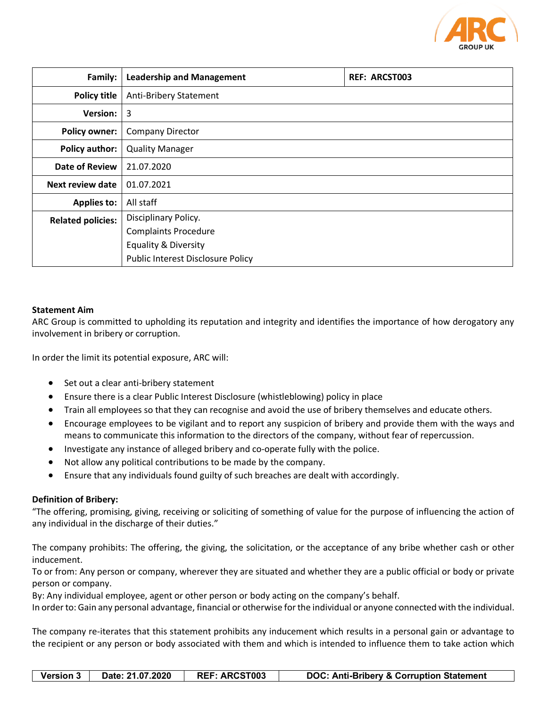

| Family:                  | <b>Leadership and Management</b>  | <b>REF: ARCST003</b> |
|--------------------------|-----------------------------------|----------------------|
| <b>Policy title</b>      | <b>Anti-Bribery Statement</b>     |                      |
| <b>Version:</b>          | 3                                 |                      |
| <b>Policy owner:</b>     | <b>Company Director</b>           |                      |
| <b>Policy author:</b>    | <b>Quality Manager</b>            |                      |
| Date of Review           | 21.07.2020                        |                      |
| Next review date         | 01.07.2021                        |                      |
| <b>Applies to:</b>       | All staff                         |                      |
| <b>Related policies:</b> | Disciplinary Policy.              |                      |
|                          | <b>Complaints Procedure</b>       |                      |
|                          | <b>Equality &amp; Diversity</b>   |                      |
|                          | Public Interest Disclosure Policy |                      |

## **Statement Aim**

ARC Group is committed to upholding its reputation and integrity and identifies the importance of how derogatory any involvement in bribery or corruption.

In order the limit its potential exposure, ARC will:

- Set out a clear anti-bribery statement
- Ensure there is a clear Public Interest Disclosure (whistleblowing) policy in place
- Train all employees so that they can recognise and avoid the use of bribery themselves and educate others.
- Encourage employees to be vigilant and to report any suspicion of bribery and provide them with the ways and means to communicate this information to the directors of the company, without fear of repercussion.
- Investigate any instance of alleged bribery and co-operate fully with the police.
- Not allow any political contributions to be made by the company.
- Ensure that any individuals found guilty of such breaches are dealt with accordingly.

# **Definition of Bribery:**

"The offering, promising, giving, receiving or soliciting of something of value for the purpose of influencing the action of any individual in the discharge of their duties."

The company prohibits: The offering, the giving, the solicitation, or the acceptance of any bribe whether cash or other inducement.

To or from: Any person or company, wherever they are situated and whether they are a public official or body or private person or company.

By: Any individual employee, agent or other person or body acting on the company's behalf.

In order to: Gain any personal advantage, financial or otherwise for the individual or anyone connected with the individual.

The company re-iterates that this statement prohibits any inducement which results in a personal gain or advantage to the recipient or any person or body associated with them and which is intended to influence them to take action which

| <b>Version 3</b> | Date: 21.07.2020 | <b>REF: ARCST003</b> | <b>DOC: Anti-Bribery &amp; Corruption Statement</b> |
|------------------|------------------|----------------------|-----------------------------------------------------|
|------------------|------------------|----------------------|-----------------------------------------------------|